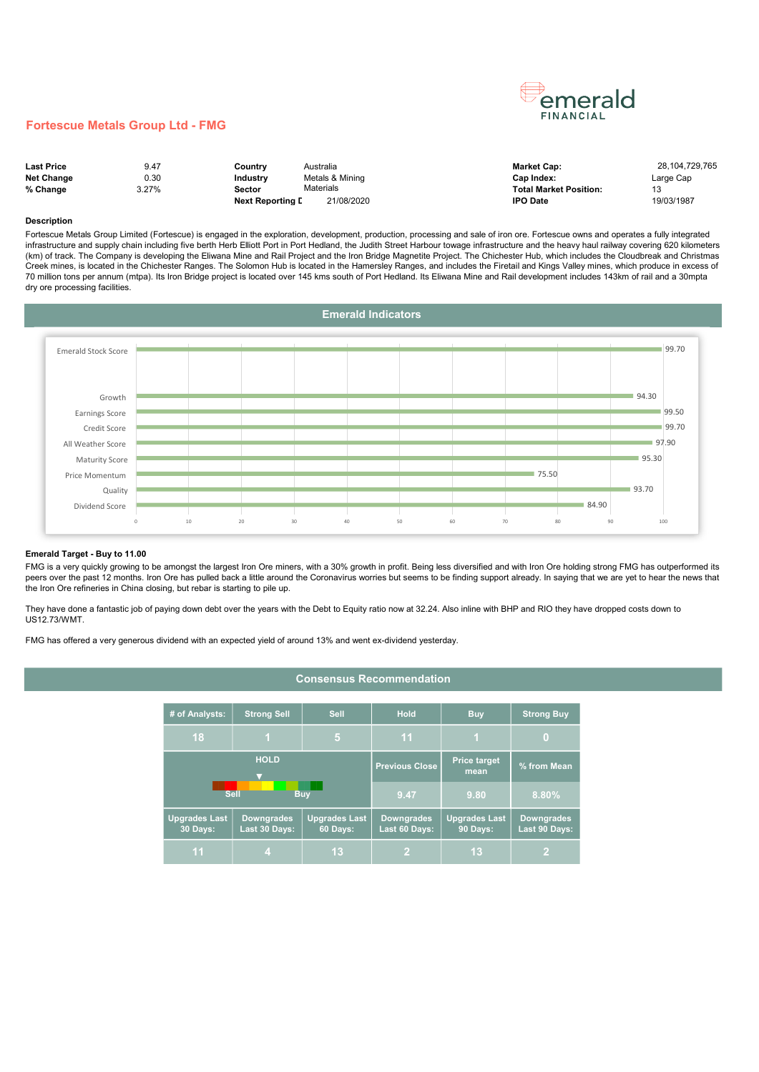# emerald FINANCIAL

### Fortescue Metals Group Ltd - FMG

| <b>Last Price</b> | 9.47  | Country                 | Australia       | <b>Market Cap:</b>            | 28.104.729.765 |
|-------------------|-------|-------------------------|-----------------|-------------------------------|----------------|
| <b>Net Change</b> | 0.30  | Industry                | Metals & Mining | Cap Index:                    | Large Cap      |
| % Change          | 3.27% | Sector                  | Materials       | <b>Total Market Position:</b> |                |
|                   |       | <b>Next Reporting L</b> | 21/08/2020      | <b>IPO Date</b>               | 19/03/1987     |

#### Description

Fortescue Metals Group Limited (Fortescue) is engaged in the exploration, development, production, processing and sale of iron ore. Fortescue owns and operates a fully integrated infrastructure and supply chain including five berth Herb Elliott Port in Port Hedland, the Judith Street Harbour towage infrastructure and the heavy haul railway covering 620 kilometers (km) of track. The Company is developing the Eliwana Mine and Rail Project and the Iron Bridge Magnetite Project. The Chichester Hub, which includes the Cloudbreak and Christmas Creek mines, is located in the Chichester Ranges. The Solomon Hub is located in the Hamersley Ranges, and includes the Firetail and Kings Valley mines, which produce in excess of 70 million tons per annum (mtpa). Its Iron Bridge project is located over 145 kms south of Port Hedland. Its Eliwana Mine and Rail development includes 143km of rail and a 30mpta dry ore processing facilities.



#### Emerald Target - Buy to 11.00

FMG is a very quickly growing to be amongst the largest Iron Ore miners, with a 30% growth in profit. Being less diversified and with Iron Ore holding strong FMG has outperformed its peers over the past 12 months. Iron Ore has pulled back a little around the Coronavirus worries but seems to be finding support already. In saying that we are yet to hear the news that the Iron Ore refineries in China closing, but rebar is starting to pile up.

Consensus Recommendation

They have done a fantastic job of paying down debt over the years with the Debt to Equity ratio now at 32.24. Also inline with BHP and RIO they have dropped costs down to US12.73/WMT.

FMG has offered a very generous dividend with an expected yield of around 13% and went ex-dividend yesterday.

|                           | # of Analysts:                          | <b>Strong Sell</b>                 | <b>Sell</b>                      | <b>Hold</b>                        | <b>Buy</b>                              | <b>Strong Buy</b>                  |
|---------------------------|-----------------------------------------|------------------------------------|----------------------------------|------------------------------------|-----------------------------------------|------------------------------------|
|                           | 18                                      | $\overline{1}$                     | 5                                | 11                                 | 1                                       | O                                  |
| <b>HOLD</b>               |                                         |                                    |                                  | <b>Previous Close</b>              | <b>Price target</b><br>mean             | % from Mean                        |
| <b>Sell</b><br><b>Buy</b> |                                         |                                    |                                  | 9.47                               | 9.80                                    | 8.80%                              |
|                           | <b>Upgrades Last</b><br><b>30 Days:</b> | <b>Downgrades</b><br>Last 30 Days: | <b>Upgrades Last</b><br>60 Days: | <b>Downgrades</b><br>Last 60 Days: | <b>Upgrades Last</b><br><b>90 Days:</b> | <b>Downgrades</b><br>Last 90 Days: |
|                           | 11                                      | 4                                  | 13                               | 2                                  | 13                                      |                                    |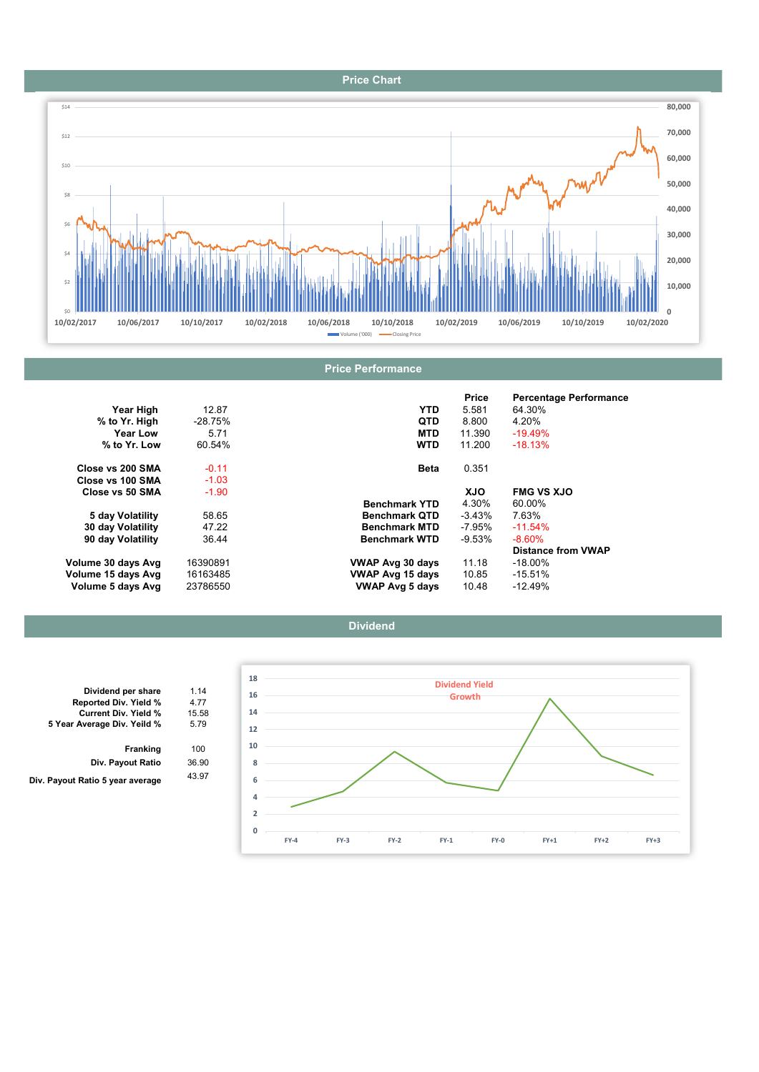### Price Chart



|                    |           |                         | Price      | <b>Percentage Performance</b> |
|--------------------|-----------|-------------------------|------------|-------------------------------|
| Year High          | 12.87     | YTD.                    | 5.581      | 64.30%                        |
| % to Yr. High      | $-28.75%$ | <b>QTD</b>              | 8.800      | 4.20%                         |
| <b>Year Low</b>    | 5.71      | <b>MTD</b>              | 11.390     | $-19.49%$                     |
| % to Yr. Low       | 60.54%    | <b>WTD</b>              | 11.200     | $-18.13%$                     |
| Close vs 200 SMA   | $-0.11$   | <b>Beta</b>             | 0.351      |                               |
| Close vs 100 SMA   | $-1.03$   |                         |            |                               |
| Close vs 50 SMA    | $-1.90$   |                         | <b>XJO</b> | <b>FMG VS XJO</b>             |
|                    |           | <b>Benchmark YTD</b>    | 4.30%      | 60.00%                        |
| 5 day Volatility   | 58.65     | <b>Benchmark QTD</b>    | $-3.43\%$  | 7.63%                         |
| 30 day Volatility  | 47.22     | <b>Benchmark MTD</b>    | -7.95%     | $-11.54%$                     |
| 90 day Volatility  | 36.44     | <b>Benchmark WTD</b>    | $-9.53%$   | $-8.60\%$                     |
|                    |           |                         |            | <b>Distance from VWAP</b>     |
| Volume 30 days Avg | 16390891  | VWAP Avg 30 days        | 11.18      | $-18.00\%$                    |
| Volume 15 days Avg | 16163485  | <b>VWAP Avg 15 days</b> | 10.85      | $-15.51%$                     |
| Volume 5 days Avg  | 23786550  | <b>VWAP Avg 5 days</b>  | 10.48      | $-12.49%$                     |





| Dividend per share               | 1.14  |
|----------------------------------|-------|
| Reported Div. Yield %            | 4.77  |
| <b>Current Div. Yield %</b>      | 15.58 |
| 5 Year Average Div. Yeild %      | 5.79  |
| <b>Franking</b>                  | 100   |
| Div. Payout Ratio                | 36.90 |
| Div. Payout Ratio 5 year average | 43.97 |
|                                  |       |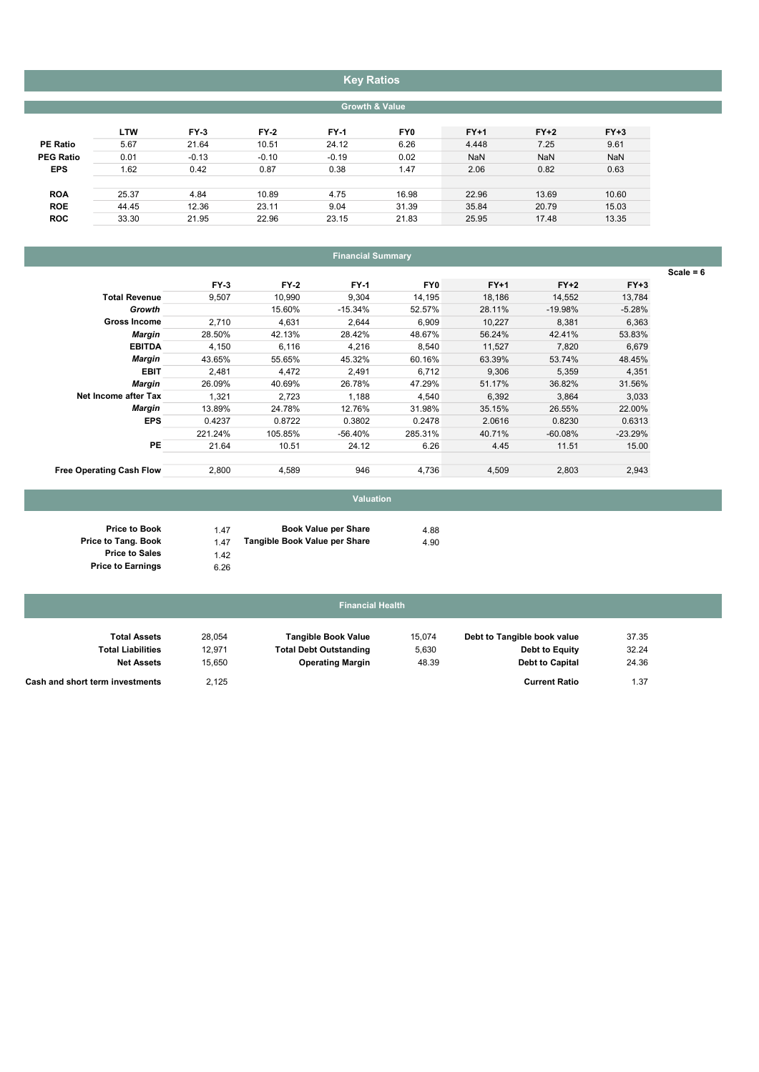# Key Ratios

| <b>Growth &amp; Value</b> |  |
|---------------------------|--|

| $FY+2$     | $FY+3$     |
|------------|------------|
| 7.25       | 9.61       |
| <b>NaN</b> | <b>NaN</b> |
| 0.82       | 0.63       |
|            |            |
| 13.69      | 10.60      |
| 20.79      | 15.03      |
| 17.48      | 13.35      |
|            |            |

# Financial Summary

|                                 |         |         |             |         |        |           |           | Scale = $6$ |
|---------------------------------|---------|---------|-------------|---------|--------|-----------|-----------|-------------|
|                                 | $FY-3$  | $FY-2$  | <b>FY-1</b> | FY0     | $FY+1$ | $FY+2$    | $FY+3$    |             |
| <b>Total Revenue</b>            | 9,507   | 10,990  | 9,304       | 14,195  | 18,186 | 14,552    | 13,784    |             |
| Growth                          |         | 15.60%  | $-15.34%$   | 52.57%  | 28.11% | $-19.98%$ | $-5.28%$  |             |
| <b>Gross Income</b>             | 2,710   | 4,631   | 2,644       | 6,909   | 10,227 | 8,381     | 6,363     |             |
| Margin                          | 28.50%  | 42.13%  | 28.42%      | 48.67%  | 56.24% | 42.41%    | 53.83%    |             |
| <b>EBITDA</b>                   | 4,150   | 6,116   | 4,216       | 8,540   | 11,527 | 7,820     | 6,679     |             |
| <b>Margin</b>                   | 43.65%  | 55.65%  | 45.32%      | 60.16%  | 63.39% | 53.74%    | 48.45%    |             |
| <b>EBIT</b>                     | 2,481   | 4,472   | 2,491       | 6,712   | 9,306  | 5,359     | 4,351     |             |
| Margin                          | 26.09%  | 40.69%  | 26.78%      | 47.29%  | 51.17% | 36.82%    | 31.56%    |             |
| Net Income after Tax            | 1,321   | 2,723   | 1,188       | 4,540   | 6,392  | 3,864     | 3,033     |             |
| Margin                          | 13.89%  | 24.78%  | 12.76%      | 31.98%  | 35.15% | 26.55%    | 22.00%    |             |
| <b>EPS</b>                      | 0.4237  | 0.8722  | 0.3802      | 0.2478  | 2.0616 | 0.8230    | 0.6313    |             |
|                                 | 221.24% | 105.85% | -56.40%     | 285.31% | 40.71% | $-60.08%$ | $-23.29%$ |             |
| PE                              | 21.64   | 10.51   | 24.12       | 6.26    | 4.45   | 11.51     | 15.00     |             |
| <b>Free Operating Cash Flow</b> | 2,800   | 4,589   | 946         | 4,736   | 4,509  | 2,803     | 2,943     |             |

# Valuation

| 1.47 | <b>Book Value per Share</b>   | 4.88 |
|------|-------------------------------|------|
| 147  | Tangible Book Value per Share | 4.90 |
| 1.42 |                               |      |

6.26

Price to Book Price to Tang. Book Price to Sales Price to Earnings

### 15,074 28,054 37.35 Debt to Tangible book value Tangible Book Value Total Assets Financial Health

| Total Liabilities               | 12.971 | <b>Total Debt Outstanding</b> | 5,630 | Debt to Equity         | 32.24 |
|---------------------------------|--------|-------------------------------|-------|------------------------|-------|
| <b>Net Assets</b>               | 15.650 | <b>Operating Margin</b>       | 48.39 | <b>Debt to Capital</b> | 24.36 |
| Cash and short term investments | 2,125  |                               |       | <b>Current Ratio</b>   | 1.37  |